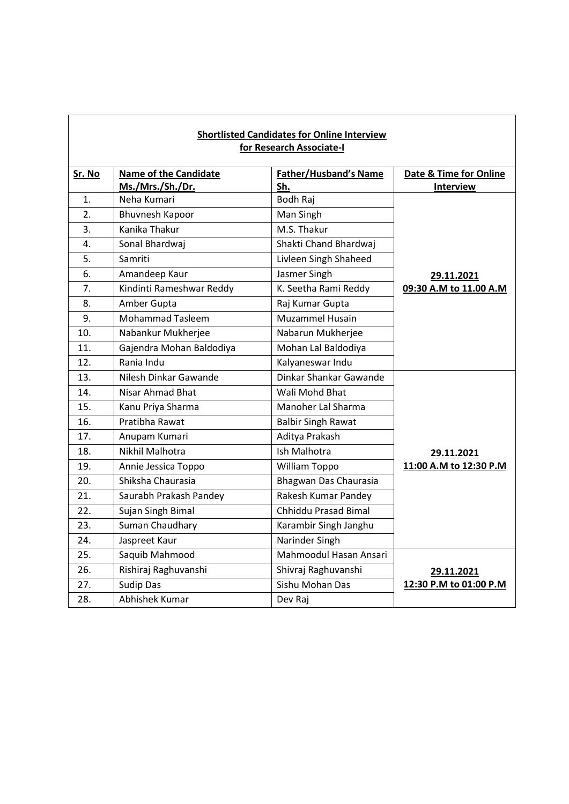| <b>Shortlisted Candidates for Online Interview</b><br>for Research Associate-I |                              |                              |                                   |  |  |
|--------------------------------------------------------------------------------|------------------------------|------------------------------|-----------------------------------|--|--|
| Sr. No                                                                         | <b>Name of the Candidate</b> | <b>Father/Husband's Name</b> | <b>Date &amp; Time for Online</b> |  |  |
|                                                                                | Ms./Mrs./Sh./Dr.             | Sh.                          | <b>Interview</b>                  |  |  |
| 1.                                                                             | Neha Kumari                  | <b>Bodh Raj</b>              |                                   |  |  |
| $\overline{2}$ .                                                               | <b>Bhuvnesh Kapoor</b>       | Man Singh                    |                                   |  |  |
| 3.                                                                             | Kanika Thakur                | M.S. Thakur                  |                                   |  |  |
| 4.                                                                             | Sonal Bhardwaj               | Shakti Chand Bhardwaj        |                                   |  |  |
| 5.                                                                             | Samriti                      | Livleen Singh Shaheed        |                                   |  |  |
| 6.                                                                             | Amandeep Kaur                | Jasmer Singh                 | 29.11.2021                        |  |  |
| 7.                                                                             | Kindinti Rameshwar Reddy     | K. Seetha Rami Reddy         | 09:30 A.M to 11.00 A.M            |  |  |
| 8.                                                                             | Amber Gupta                  | Raj Kumar Gupta              |                                   |  |  |
| 9.                                                                             | <b>Mohammad Tasleem</b>      | <b>Muzammel Husain</b>       |                                   |  |  |
| 10.                                                                            | Nabankur Mukherjee           | Nabarun Mukherjee            |                                   |  |  |
| 11.                                                                            | Gajendra Mohan Baldodiya     | Mohan Lal Baldodiya          |                                   |  |  |
| 12.                                                                            | Rania Indu                   | Kalyaneswar Indu             |                                   |  |  |
| 13.                                                                            | Nilesh Dinkar Gawande        | Dinkar Shankar Gawande       |                                   |  |  |
| 14.                                                                            | <b>Nisar Ahmad Bhat</b>      | Wali Mohd Bhat               |                                   |  |  |
| 15.                                                                            | Kanu Priya Sharma            | Manoher Lal Sharma           |                                   |  |  |
| 16.                                                                            | Pratibha Rawat               | <b>Balbir Singh Rawat</b>    |                                   |  |  |
| 17.                                                                            | Anupam Kumari                | Aditya Prakash               |                                   |  |  |
| 18.                                                                            | Nikhil Malhotra              | Ish Malhotra                 | 29.11.2021                        |  |  |
| 19.                                                                            | Annie Jessica Toppo          | William Toppo                | 11:00 A.M to 12:30 P.M            |  |  |
| 20.                                                                            | Shiksha Chaurasia            | Bhagwan Das Chaurasia        |                                   |  |  |
| 21.                                                                            | Saurabh Prakash Pandey       | Rakesh Kumar Pandey          |                                   |  |  |
| 22.                                                                            | Sujan Singh Bimal            | Chhiddu Prasad Bimal         |                                   |  |  |
| 23.                                                                            | Suman Chaudhary              | Karambir Singh Janghu        |                                   |  |  |
| 24.                                                                            | Jaspreet Kaur                | Narinder Singh               |                                   |  |  |
| 25.                                                                            | Saquib Mahmood               | Mahmoodul Hasan Ansari       |                                   |  |  |
| 26.                                                                            | Rishiraj Raghuvanshi         | Shivraj Raghuvanshi          | 29.11.2021                        |  |  |
| 27.                                                                            | <b>Sudip Das</b>             | Sishu Mohan Das              | 12:30 P.M to 01:00 P.M            |  |  |
| 28.                                                                            | Abhishek Kumar               | Dev Rai                      |                                   |  |  |

 $\overline{\mathbf{1}}$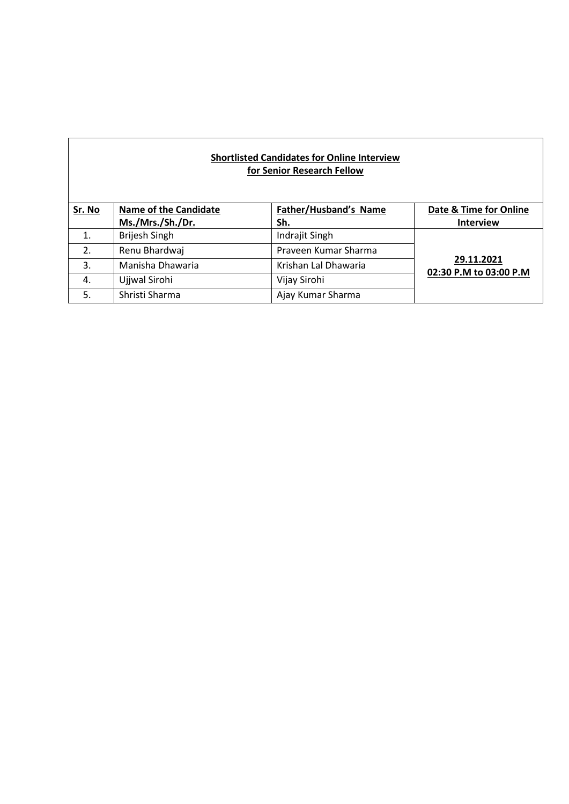## **Shortlisted Candidates for Online Interview for Senior Research Fellow**

| Sr. No | <b>Name of the Candidate</b><br>Ms./Mrs./Sh./Dr. | Father/Husband's Name<br><u>Sh.</u> | Date & Time for Online<br><b>Interview</b> |
|--------|--------------------------------------------------|-------------------------------------|--------------------------------------------|
| 1.     | Brijesh Singh                                    | Indrajit Singh                      | 29.11.2021<br>02:30 P.M to 03:00 P.M       |
| 2.     | Renu Bhardwaj                                    | Praveen Kumar Sharma                |                                            |
| 3.     | Manisha Dhawaria                                 | Krishan Lal Dhawaria                |                                            |
| 4.     | Ujjwal Sirohi                                    | Vijay Sirohi                        |                                            |
| 5.     | Shristi Sharma                                   | Ajay Kumar Sharma                   |                                            |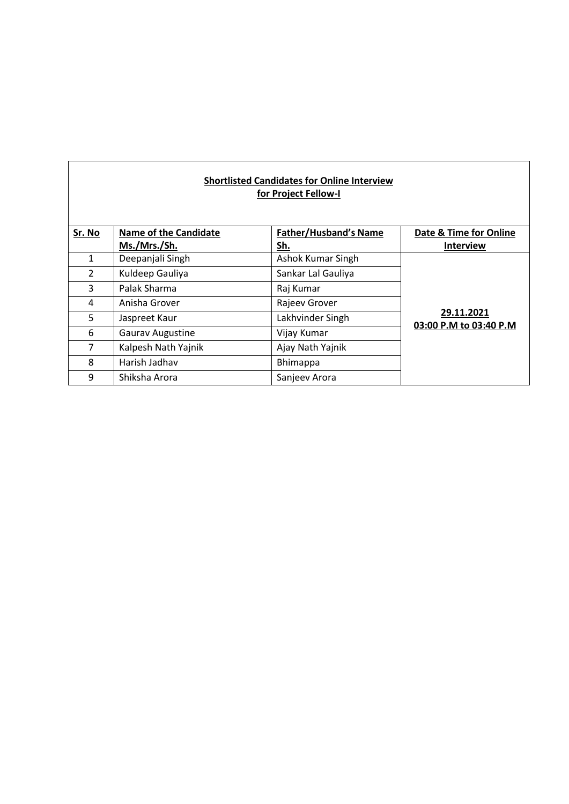| <b>Shortlisted Candidates for Online Interview</b><br>for Project Fellow-I |                              |                              |                                      |  |  |
|----------------------------------------------------------------------------|------------------------------|------------------------------|--------------------------------------|--|--|
| Sr. No                                                                     | <b>Name of the Candidate</b> | <b>Father/Husband's Name</b> | Date & Time for Online               |  |  |
|                                                                            | Ms./Mrs./Sh.                 | Sh.                          | <b>Interview</b>                     |  |  |
| 1                                                                          | Deepanjali Singh             | Ashok Kumar Singh            | 29.11.2021<br>03:00 P.M to 03:40 P.M |  |  |
| $\mathfrak{D}$                                                             | Kuldeep Gauliya              | Sankar Lal Gauliya           |                                      |  |  |
| 3                                                                          | Palak Sharma                 | Raj Kumar                    |                                      |  |  |
| 4                                                                          | Anisha Grover                | Rajeev Grover                |                                      |  |  |
| 5                                                                          | Jaspreet Kaur                | Lakhvinder Singh             |                                      |  |  |
| 6                                                                          | <b>Gaurav Augustine</b>      | Vijay Kumar                  |                                      |  |  |
| $\overline{7}$                                                             | Kalpesh Nath Yajnik          | Ajay Nath Yajnik             |                                      |  |  |
| 8                                                                          | Harish Jadhav                | <b>Bhimappa</b>              |                                      |  |  |
| 9                                                                          | Shiksha Arora                | Sanjeev Arora                |                                      |  |  |

 $\mathbf{r}$